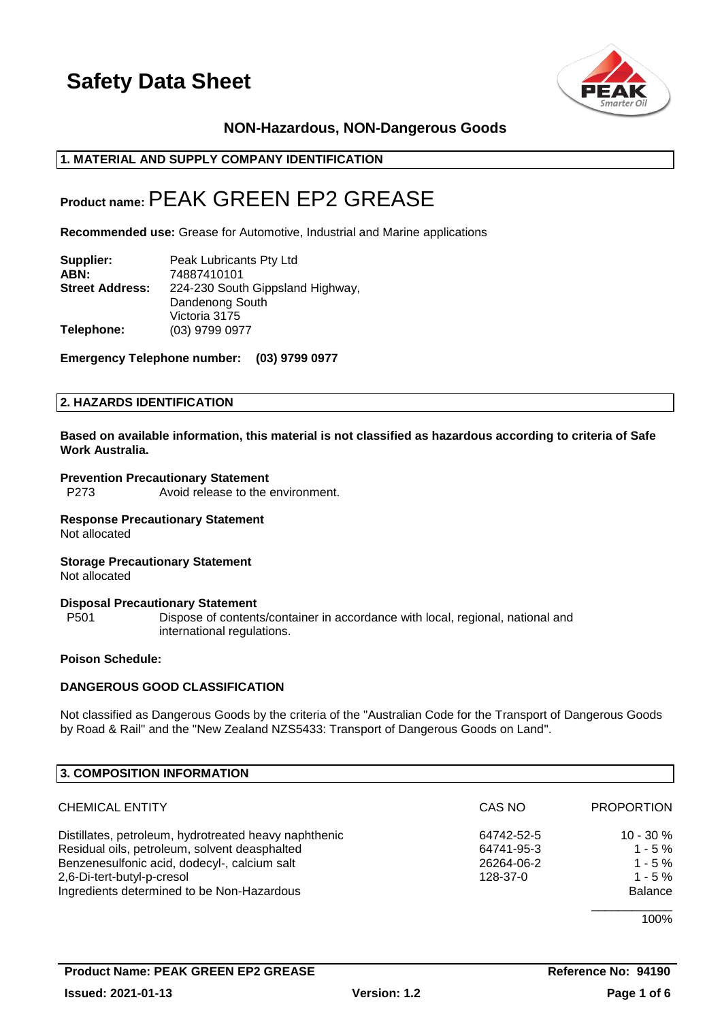

## **NON-Hazardous, NON-Dangerous Goods**

#### **1. MATERIAL AND SUPPLY COMPANY IDENTIFICATION**

## **Product name:**PEAK GREEN EP2 GREASE

**Recommended use:** Grease for Automotive, Industrial and Marine applications

| Supplier:              | Peak Lubricants Pty Ltd          |
|------------------------|----------------------------------|
| ABN:                   | 74887410101                      |
| <b>Street Address:</b> | 224-230 South Gippsland Highway, |
|                        | Dandenong South                  |
|                        | Victoria 3175                    |
| Telephone:             | (03) 9799 0977                   |

**Emergency Telephone number: (03) 9799 0977**

#### **2. HAZARDS IDENTIFICATION**

**Based on available information, this material is not classified as hazardous according to criteria of Safe Work Australia.**

### **Prevention Precautionary Statement**

P273 Avoid release to the environment.

#### **Response Precautionary Statement** Not allocated

#### **Storage Precautionary Statement** Not allocated

#### **Disposal Precautionary Statement**

P501 Dispose of contents/container in accordance with local, regional, national and international regulations.

## **Poison Schedule:**

## **DANGEROUS GOOD CLASSIFICATION**

Not classified as Dangerous Goods by the criteria of the "Australian Code for the Transport of Dangerous Goods by Road & Rail" and the "New Zealand NZS5433: Transport of Dangerous Goods on Land".

| 3. COMPOSITION INFORMATION                            |            |                   |
|-------------------------------------------------------|------------|-------------------|
| <b>CHEMICAL ENTITY</b>                                | CAS NO     | <b>PROPORTION</b> |
| Distillates, petroleum, hydrotreated heavy naphthenic | 64742-52-5 | $10 - 30 \%$      |
| Residual oils, petroleum, solvent deasphalted         | 64741-95-3 | $1 - 5 \%$        |
| Benzenesulfonic acid, dodecyl-, calcium salt          | 26264-06-2 | $1 - 5 \%$        |
| 2,6-Di-tert-butyl-p-cresol                            | 128-37-0   | $1 - 5 \%$        |
| Ingredients determined to be Non-Hazardous            |            | <b>Balance</b>    |
|                                                       |            | 1.0001            |

100%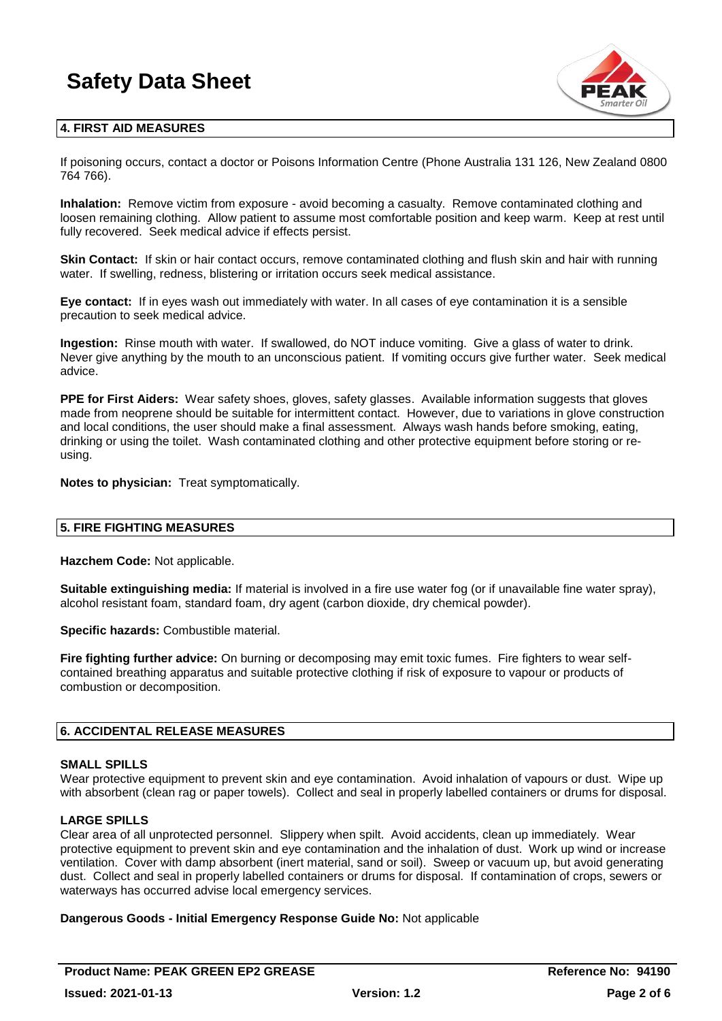

### **4. FIRST AID MEASURES**

If poisoning occurs, contact a doctor or Poisons Information Centre (Phone Australia 131 126, New Zealand 0800 764 766).

**Inhalation:** Remove victim from exposure - avoid becoming a casualty. Remove contaminated clothing and loosen remaining clothing. Allow patient to assume most comfortable position and keep warm. Keep at rest until fully recovered. Seek medical advice if effects persist.

**Skin Contact:** If skin or hair contact occurs, remove contaminated clothing and flush skin and hair with running water. If swelling, redness, blistering or irritation occurs seek medical assistance.

**Eye contact:** If in eyes wash out immediately with water. In all cases of eye contamination it is a sensible precaution to seek medical advice.

**Ingestion:** Rinse mouth with water. If swallowed, do NOT induce vomiting. Give a glass of water to drink. Never give anything by the mouth to an unconscious patient. If vomiting occurs give further water. Seek medical advice.

**PPE for First Aiders:** Wear safety shoes, gloves, safety glasses. Available information suggests that gloves made from neoprene should be suitable for intermittent contact. However, due to variations in glove construction and local conditions, the user should make a final assessment. Always wash hands before smoking, eating, drinking or using the toilet. Wash contaminated clothing and other protective equipment before storing or reusing.

**Notes to physician:** Treat symptomatically.

#### **5. FIRE FIGHTING MEASURES**

**Hazchem Code:** Not applicable.

**Suitable extinguishing media:** If material is involved in a fire use water fog (or if unavailable fine water spray), alcohol resistant foam, standard foam, dry agent (carbon dioxide, dry chemical powder).

**Specific hazards:** Combustible material.

**Fire fighting further advice:** On burning or decomposing may emit toxic fumes. Fire fighters to wear selfcontained breathing apparatus and suitable protective clothing if risk of exposure to vapour or products of combustion or decomposition.

#### **6. ACCIDENTAL RELEASE MEASURES**

#### **SMALL SPILLS**

Wear protective equipment to prevent skin and eve contamination. Avoid inhalation of vapours or dust. Wipe up with absorbent (clean rag or paper towels). Collect and seal in properly labelled containers or drums for disposal.

#### **LARGE SPILLS**

Clear area of all unprotected personnel. Slippery when spilt. Avoid accidents, clean up immediately. Wear protective equipment to prevent skin and eye contamination and the inhalation of dust. Work up wind or increase ventilation. Cover with damp absorbent (inert material, sand or soil). Sweep or vacuum up, but avoid generating dust. Collect and seal in properly labelled containers or drums for disposal. If contamination of crops, sewers or waterways has occurred advise local emergency services.

#### **Dangerous Goods - Initial Emergency Response Guide No:** Not applicable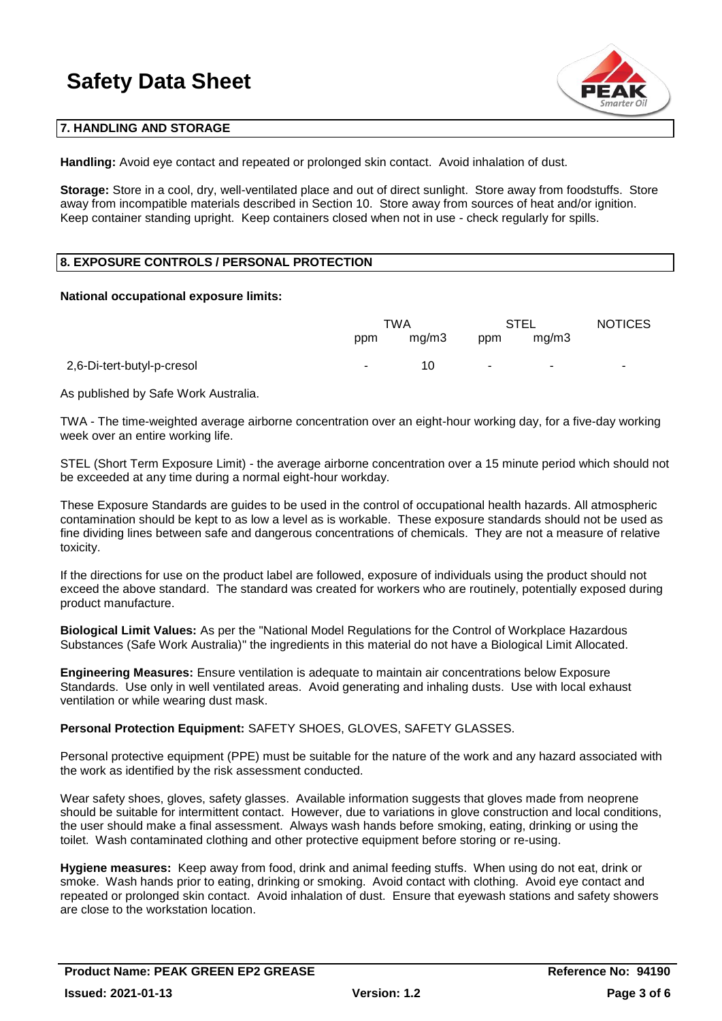

#### **7. HANDLING AND STORAGE**

**Handling:** Avoid eye contact and repeated or prolonged skin contact. Avoid inhalation of dust.

**Storage:** Store in a cool, dry, well-ventilated place and out of direct sunlight. Store away from foodstuffs. Store away from incompatible materials described in Section 10. Store away from sources of heat and/or ignition. Keep container standing upright. Keep containers closed when not in use - check regularly for spills.

### **8. EXPOSURE CONTROLS / PERSONAL PROTECTION**

#### **National occupational exposure limits:**

|                            | TWA    |       | STEL   |        | <b>NOTICES</b> |
|----------------------------|--------|-------|--------|--------|----------------|
|                            | ppm    | mg/m3 | ppm    | mq/m3  |                |
| 2,6-Di-tert-butyl-p-cresol | $\sim$ | 10    | $\sim$ | $\sim$ | $\sim$         |

As published by Safe Work Australia.

TWA - The time-weighted average airborne concentration over an eight-hour working day, for a five-day working week over an entire working life.

STEL (Short Term Exposure Limit) - the average airborne concentration over a 15 minute period which should not be exceeded at any time during a normal eight-hour workday.

These Exposure Standards are guides to be used in the control of occupational health hazards. All atmospheric contamination should be kept to as low a level as is workable. These exposure standards should not be used as fine dividing lines between safe and dangerous concentrations of chemicals. They are not a measure of relative toxicity.

If the directions for use on the product label are followed, exposure of individuals using the product should not exceed the above standard. The standard was created for workers who are routinely, potentially exposed during product manufacture.

**Biological Limit Values:** As per the "National Model Regulations for the Control of Workplace Hazardous Substances (Safe Work Australia)" the ingredients in this material do not have a Biological Limit Allocated.

**Engineering Measures:** Ensure ventilation is adequate to maintain air concentrations below Exposure Standards. Use only in well ventilated areas. Avoid generating and inhaling dusts. Use with local exhaust ventilation or while wearing dust mask.

**Personal Protection Equipment:** SAFETY SHOES, GLOVES, SAFETY GLASSES.

Personal protective equipment (PPE) must be suitable for the nature of the work and any hazard associated with the work as identified by the risk assessment conducted.

Wear safety shoes, gloves, safety glasses. Available information suggests that gloves made from neoprene should be suitable for intermittent contact. However, due to variations in glove construction and local conditions, the user should make a final assessment. Always wash hands before smoking, eating, drinking or using the toilet. Wash contaminated clothing and other protective equipment before storing or re-using.

**Hygiene measures:** Keep away from food, drink and animal feeding stuffs. When using do not eat, drink or smoke. Wash hands prior to eating, drinking or smoking. Avoid contact with clothing. Avoid eye contact and repeated or prolonged skin contact. Avoid inhalation of dust. Ensure that eyewash stations and safety showers are close to the workstation location.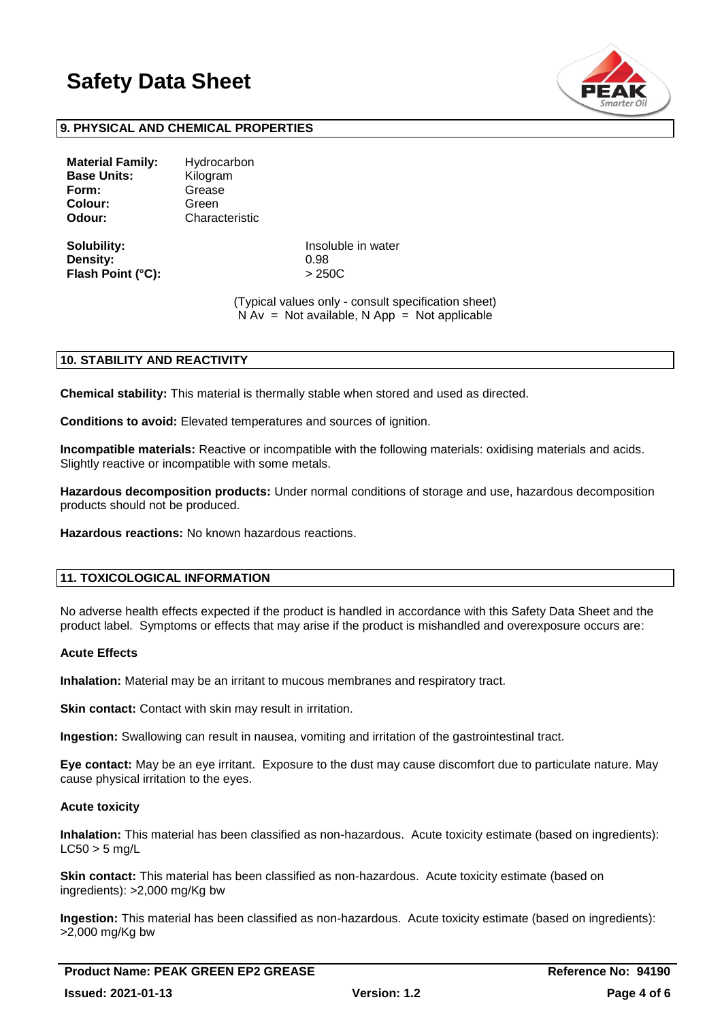

#### **9. PHYSICAL AND CHEMICAL PROPERTIES**

| Hydrocarbon<br>Kilogram |  |  |  |
|-------------------------|--|--|--|
| Grease                  |  |  |  |
| Green                   |  |  |  |
| Characteristic          |  |  |  |
|                         |  |  |  |

**Density:** 0.98 **Flash Point (°C):** > 250C

**Solubility:** Insoluble in water

(Typical values only - consult specification sheet)  $N Av = Not available, N App = Not applicable$ 

#### **10. STABILITY AND REACTIVITY**

**Chemical stability:** This material is thermally stable when stored and used as directed.

**Conditions to avoid:** Elevated temperatures and sources of ignition.

**Incompatible materials:** Reactive or incompatible with the following materials: oxidising materials and acids. Slightly reactive or incompatible with some metals.

**Hazardous decomposition products:** Under normal conditions of storage and use, hazardous decomposition products should not be produced.

**Hazardous reactions:** No known hazardous reactions.

## **11. TOXICOLOGICAL INFORMATION**

No adverse health effects expected if the product is handled in accordance with this Safety Data Sheet and the product label. Symptoms or effects that may arise if the product is mishandled and overexposure occurs are:

#### **Acute Effects**

**Inhalation:** Material may be an irritant to mucous membranes and respiratory tract.

**Skin contact:** Contact with skin may result in irritation.

**Ingestion:** Swallowing can result in nausea, vomiting and irritation of the gastrointestinal tract.

**Eye contact:** May be an eye irritant. Exposure to the dust may cause discomfort due to particulate nature. May cause physical irritation to the eyes.

#### **Acute toxicity**

**Inhalation:** This material has been classified as non-hazardous. Acute toxicity estimate (based on ingredients):  $LC50 > 5$  mg/L

**Skin contact:** This material has been classified as non-hazardous. Acute toxicity estimate (based on ingredients): >2,000 mg/Kg bw

**Ingestion:** This material has been classified as non-hazardous. Acute toxicity estimate (based on ingredients): >2,000 mg/Kg bw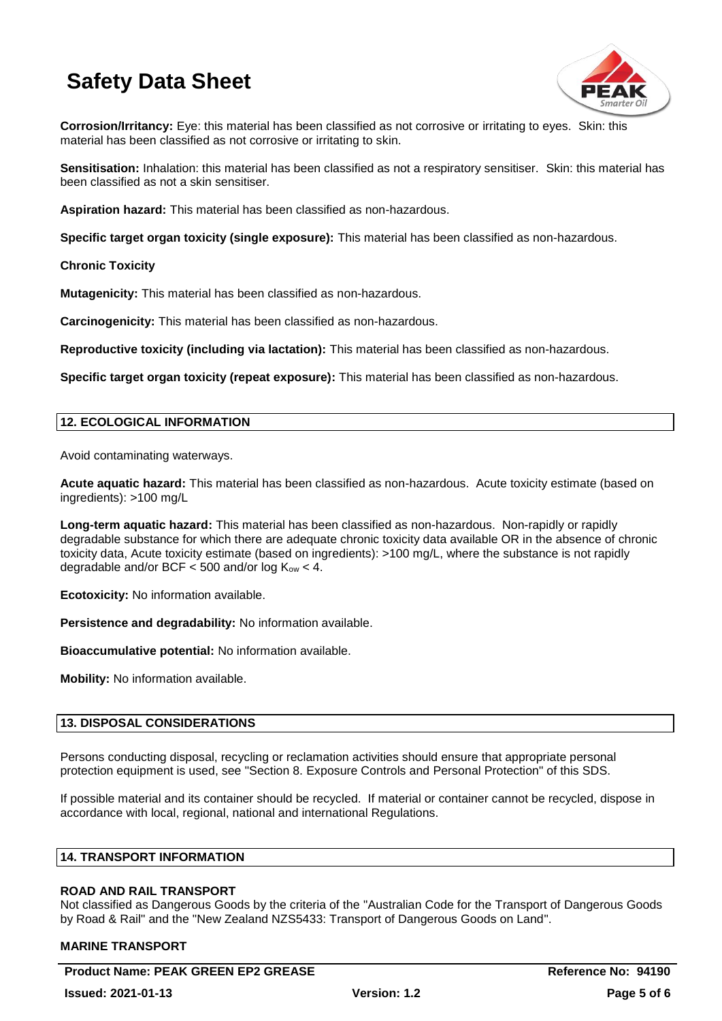

**Corrosion/Irritancy:** Eye: this material has been classified as not corrosive or irritating to eyes. Skin: this material has been classified as not corrosive or irritating to skin.

**Sensitisation:** Inhalation: this material has been classified as not a respiratory sensitiser. Skin: this material has been classified as not a skin sensitiser.

**Aspiration hazard:** This material has been classified as non-hazardous.

**Specific target organ toxicity (single exposure):** This material has been classified as non-hazardous.

**Chronic Toxicity**

**Mutagenicity:** This material has been classified as non-hazardous.

**Carcinogenicity:** This material has been classified as non-hazardous.

**Reproductive toxicity (including via lactation):** This material has been classified as non-hazardous.

**Specific target organ toxicity (repeat exposure):** This material has been classified as non-hazardous.

### **12. ECOLOGICAL INFORMATION**

Avoid contaminating waterways.

**Acute aquatic hazard:** This material has been classified as non-hazardous. Acute toxicity estimate (based on ingredients): >100 mg/L

**Long-term aquatic hazard:** This material has been classified as non-hazardous. Non-rapidly or rapidly degradable substance for which there are adequate chronic toxicity data available OR in the absence of chronic toxicity data, Acute toxicity estimate (based on ingredients): >100 mg/L, where the substance is not rapidly degradable and/or BCF  $\lt$  500 and/or log K<sub>ow</sub>  $\lt$  4.

**Ecotoxicity:** No information available.

**Persistence and degradability:** No information available.

**Bioaccumulative potential:** No information available.

**Mobility:** No information available.

#### **13. DISPOSAL CONSIDERATIONS**

Persons conducting disposal, recycling or reclamation activities should ensure that appropriate personal protection equipment is used, see "Section 8. Exposure Controls and Personal Protection" of this SDS.

If possible material and its container should be recycled. If material or container cannot be recycled, dispose in accordance with local, regional, national and international Regulations.

### **14. TRANSPORT INFORMATION**

#### **ROAD AND RAIL TRANSPORT**

Not classified as Dangerous Goods by the criteria of the "Australian Code for the Transport of Dangerous Goods by Road & Rail" and the "New Zealand NZS5433: Transport of Dangerous Goods on Land".

#### **MARINE TRANSPORT**

**Product Name: PEAK GREEN EP2 GREASE <b>All Accords** 2011 12:00 Reference No: 94190